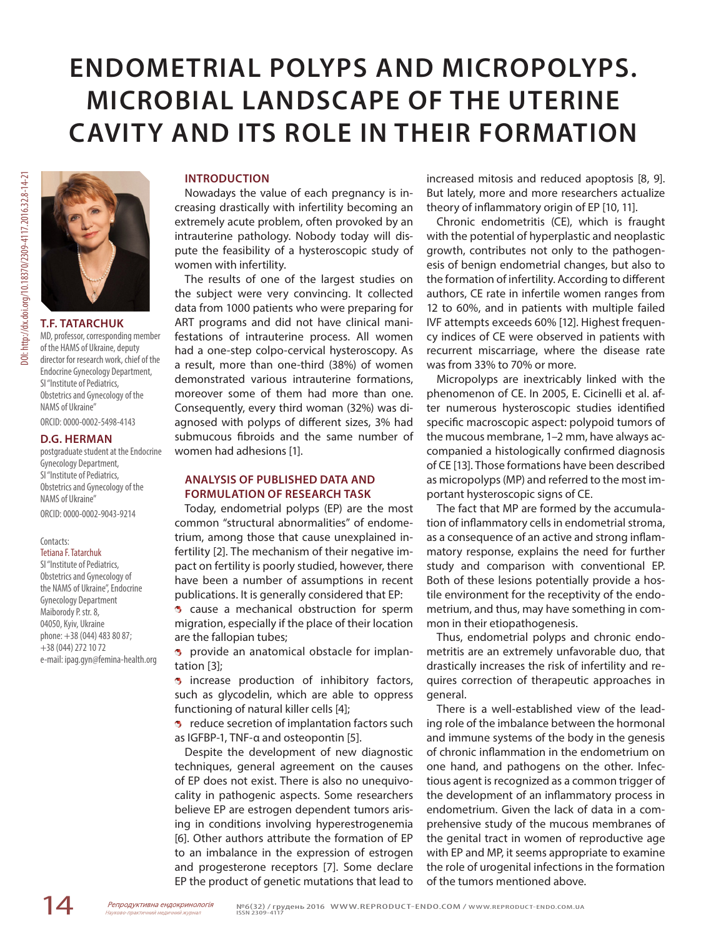# **ENDOMETRIAL POLYPS AND MICROPOLYPS. MICROBIAL LANDSCAPE OF THE UTERINE CAVITY AND ITS ROLE IN THEIR FORMATION**

# **T.F. TATARCHUK**

MD, professor, corresponding member of the HAMS of Ukraine, deputy director for research work, chief of the Endocrine Gynecology Department, SI "Institute of Pediatrics, Obstetrics and Gynecology of the NAMS of Ukraine"

ORCID: 0000-0002-5498-4143

## **D.G. HERMAN**

postgraduate student at the Endocrine Gynecology Department, SI "Institute of Pediatrics, Obstetrics and Gynecology of the NAMS of Ukraine" ORCID: 0000-0002-9043-9214

### Contacts:

#### Tetiana F. Tatarchuk

SI "Institute of Pediatrics, Obstetrics and Gynecology of the NAMS of Ukraine", Endocrine Gynecology Department Maiborody P. str. 8, 04050, Кyiv, Ukraine phone: +38 (044) 483 80 87; +38 (044) 272 10 72 e-mail: ipag.gyn@femina-health.org

## **INTRODUCTION**

Nowadays the value of each pregnancy is increasing drastically with infertility becoming an extremely acute problem, often provoked by an intrauterine pathology. Nobody today will dispute the feasibility of a hysteroscopic study of women with infertility.

The results of one of the largest studies on the subject were very convincing. It collected data from 1000 patients who were preparing for ART programs and did not have clinical manifestations of intrauterine process. All women had a one-step colpo-cervical hysteroscopy. As a result, more than one-third (38%) of women demonstrated various intrauterine formations, moreover some of them had more than one. Consequently, every third woman (32%) was diagnosed with polyps of different sizes, 3% had submucous fibroids and the same number of women had adhesions [1].

## **ANALYSIS OF PUBLISHED DATA AND FORMULATION OF RESEARCH TASK**

Today, endometrial polyps (EP) are the most common "structural abnormalities" of endometrium, among those that cause unexplained infertility [2]. The mechanism of their negative impact on fertility is poorly studied, however, there have been a number of assumptions in recent publications. It is generally considered that EP:

**3** cause a mechanical obstruction for sperm migration, especially if the place of their location are the fallopian tubes;

**p** provide an anatomical obstacle for implantation [3];

**3** increase production of inhibitory factors, such as glycodelin, which are able to oppress functioning of natural killer cells [4];

**B** reduce secretion of implantation factors such as IGFBP-1, TNF-α and osteopontin [5].

Despite the development of new diagnostic techniques, general agreement on the causes of EP does not exist. There is also no unequivocality in pathogenic aspects. Some researchers believe EP are estrogen dependent tumors arising in conditions involving hyperestrogenemia [6]. Other authors attribute the formation of EP to an imbalance in the expression of estrogen and progesterone receptors [7]. Some declare EP the product of genetic mutations that lead to

increased mitosis and reduced apoptosis [8, 9]. But lately, more and more researchers actualize theory of inflammatory origin of EP [10, 11].

Chronic endometritis (CE), which is fraught with the potential of hyperplastic and neoplastic growth, contributes not only to the pathogenesis of benign endometrial changes, but also to the formation of infertility. According to different authors, CE rate in infertile women ranges from 12 to 60%, and in patients with multiple failed IVF attempts exceeds 60% [12]. Highest frequency indices of CE were observed in patients with recurrent miscarriage, where the disease rate was from 33% to 70% or more.

Micropolyps are inextricably linked with the phenomenon of CE. In 2005, E. Cicinelli et al. after numerous hysteroscopic studies identified specific macroscopic aspect: polypoid tumors of the mucous membrane, 1–2 mm, have always accompanied a histologically confirmed diagnosis of CE [13]. Those formations have been described as micropolyps (MP) and referred to the most important hysteroscopic signs of CE.

The fact that MP are formed by the accumulation of inflammatory cells in endometrial stroma, as a consequence of an active and strong inflammatory response, explains the need for further study and comparison with conventional EP. Both of these lesions potentially provide a hostile environment for the receptivity of the endometrium, and thus, may have something in common in their etiopathogenesis.

Thus, endometrial polyps and chronic endometritis are an extremely unfavorable duo, that drastically increases the risk of infertility and requires correction of therapeutic approaches in general.

There is a well-established view of the leading role of the imbalance between the hormonal and immune systems of the body in the genesis of chronic inflammation in the endometrium on one hand, and pathogens on the other. Infectious agent is recognized as a common trigger of the development of an inflammatory process in endometrium. Given the lack of data in a comprehensive study of the mucous membranes of the genital tract in women of reproductive age with EP and MP, it seems appropriate to examine the role of urogenital infections in the formation of the tumors mentioned above.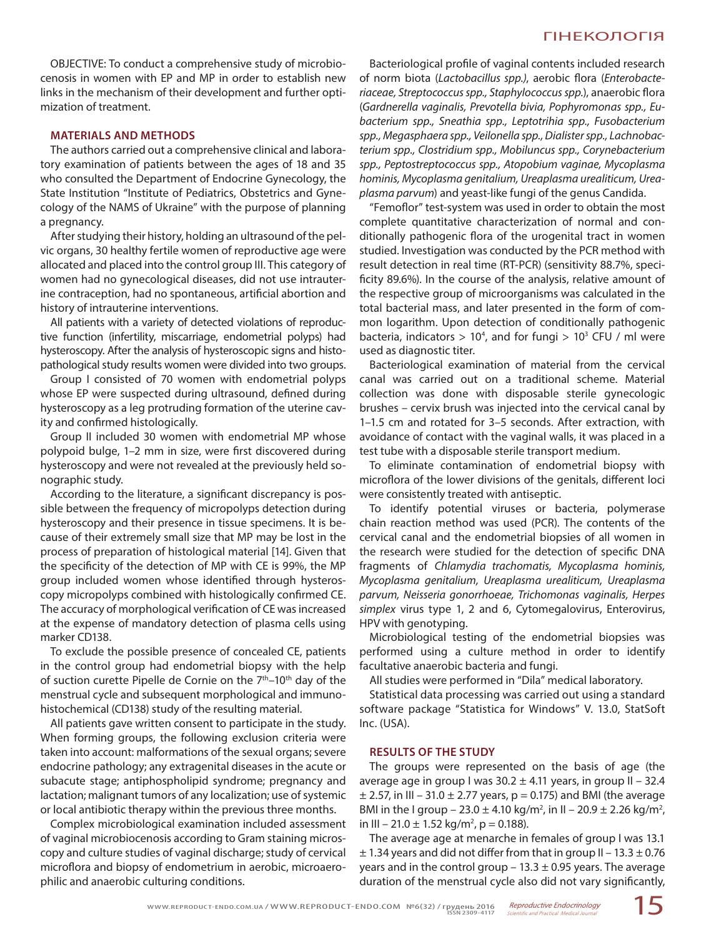OBJECTIVE: To conduct a comprehensive study of microbiocenosis in women with EP and MP in order to establish new links in the mechanism of their development and further optimization of treatment.

## **MATERIALS AND METHODS**

The authors carried out a comprehensive clinical and laboratory examination of patients between the ages of 18 and 35 who consulted the Department of Endocrine Gynecology, the State Institution "Institute of Pediatrics, Obstetrics and Gynecology of the NAMS of Ukraine" with the purpose of planning a pregnancy.

After studying their history, holding an ultrasound of the pelvic organs, 30 healthy fertile women of reproductive age were allocated and placed into the control group III. This category of women had no gynecological diseases, did not use intrauterine contraception, had no spontaneous, artificial abortion and history of intrauterine interventions.

All patients with a variety of detected violations of reproductive function (infertility, miscarriage, endometrial polyps) had hysteroscopy. After the analysis of hysteroscopic signs and histopathological study results women were divided into two groups.

Group I consisted of 70 women with endometrial polyps whose EP were suspected during ultrasound, defined during hysteroscopy as a leg protruding formation of the uterine cavity and confirmed histologically.

Group II included 30 women with endometrial MP whose polypoid bulge, 1–2 mm in size, were first discovered during hysteroscopy and were not revealed at the previously held sonographic study.

According to the literature, a significant discrepancy is possible between the frequency of micropolyps detection during hysteroscopy and their presence in tissue specimens. It is because of their extremely small size that MP may be lost in the process of preparation of histological material [14]. Given that the specificity of the detection of MP with CE is 99%, the MP group included women whose identified through hysteroscopy micropolyps combined with histologically confirmed CE. The accuracy of morphological verification of CE was increased at the expense of mandatory detection of plasma cells using marker CD138.

To exclude the possible presence of concealed CE, patients in the control group had endometrial biopsy with the help of suction curette Pipelle de Cornie on the 7<sup>th</sup>-10<sup>th</sup> day of the menstrual cycle and subsequent morphological and immunohistochemical (CD138) study of the resulting material.

All patients gave written consent to participate in the study. When forming groups, the following exclusion criteria were taken into account: malformations of the sexual organs; severe endocrine pathology; any extragenital diseases in the acute or subacute stage; antiphospholipid syndrome; pregnancy and lactation; malignant tumors of any localization; use of systemic or local antibiotic therapy within the previous three months.

Complex microbiological examination included assessment of vaginal microbiocenosis according to Gram staining microscopy and culture studies of vaginal discharge; study of cervical microflora and biopsy of endometrium in aerobic, microaerophilic and anaerobic culturing conditions.

Bacteriological profile of vaginal contents included research of norm biota (*Lactobacillus spp.)*, aerobic flora (*Enterobacteriaceae, Streptococcus spp., Staphylococcus spp.*), anaerobic flora (*Gardnerella vaginalis, Prevotella bivia, Pophyromonas spp., Eubacterium spp., Sneathia spp., Leptotrihia spp., Fusobacterium spp., Megasphaera spp., Veilonella spp., Dialister spp., Lachnobacterium spp., Clostridium spp., Mobiluncus spp., Corynebacterium spp., Peptostreptococcus spp., Atopobium vaginae, Mycoplasma hominis, Mycoplasma genitalium, Ureaplasma urealiticum, Ureaplasma parvum*) and yeast-like fungi of the genus Candida.

"Femoflor" test-system was used in order to obtain the most complete quantitative characterization of normal and conditionally pathogenic flora of the urogenital tract in women studied. Investigation was conducted by the PCR method with result detection in real time (RT-PCR) (sensitivity 88.7%, specificity 89.6%). In the course of the analysis, relative amount of the respective group of microorganisms was calculated in the total bacterial mass, and later presented in the form of common logarithm. Upon detection of conditionally pathogenic bacteria, indicators  $> 10<sup>4</sup>$ , and for fungi  $> 10<sup>3</sup>$  CFU / ml were used as diagnostic titer.

Bacteriological examination of material from the cervical canal was carried out on a traditional scheme. Material collection was done with disposable sterile gynecologic brushes – cervix brush was injected into the cervical canal by 1–1.5 cm and rotated for 3–5 seconds. After extraction, with avoidance of contact with the vaginal walls, it was placed in a test tube with a disposable sterile transport medium.

To eliminate contamination of endometrial biopsy with microflora of the lower divisions of the genitals, different loci were consistently treated with antiseptic.

To identify potential viruses or bacteria, polymerase chain reaction method was used (PCR). The contents of the cervical canal and the endometrial biopsies of all women in the research were studied for the detection of specific DNA fragments of *Chlamydia trachomatis, Mycoplasma hominis, Mycoplasma genitalium, Ureaplasma urealiticum, Ureaplasma parvum, Neisseria gonorrhoeae, Trichomonas vaginalis, Herpes simplex* virus type 1, 2 and 6, Cytomegalovirus, Enterovirus, HPV with genotyping.

Microbiological testing of the endometrial biopsies was performed using a culture method in order to identify facultative anaerobic bacteria and fungi.

All studies were performed in "Dila" medical laboratory.

Statistical data processing was carried out using a standard software package "Statistica for Windows" V. 13.0, StatSoft Inc. (USA).

## **RESULTS OF THE STUDY**

The groups were represented on the basis of age (the average age in group I was  $30.2 \pm 4.11$  years, in group II - 32.4  $\pm$  2.57, in III – 31.0  $\pm$  2.77 years, p = 0.175) and BMI (the average BMI in the I group – 23.0  $\pm$  4.10 kg/m<sup>2</sup>, in II – 20.9  $\pm$  2.26 kg/m<sup>2</sup>, in III – 21.0  $\pm$  1.52 kg/m<sup>2</sup>, p = 0.188).

The average age at menarche in females of group I was 13.1  $\pm$  1.34 years and did not differ from that in group II – 13.3  $\pm$  0.76 years and in the control group – 13.3  $\pm$  0.95 years. The average duration of the menstrual cycle also did not vary significantly,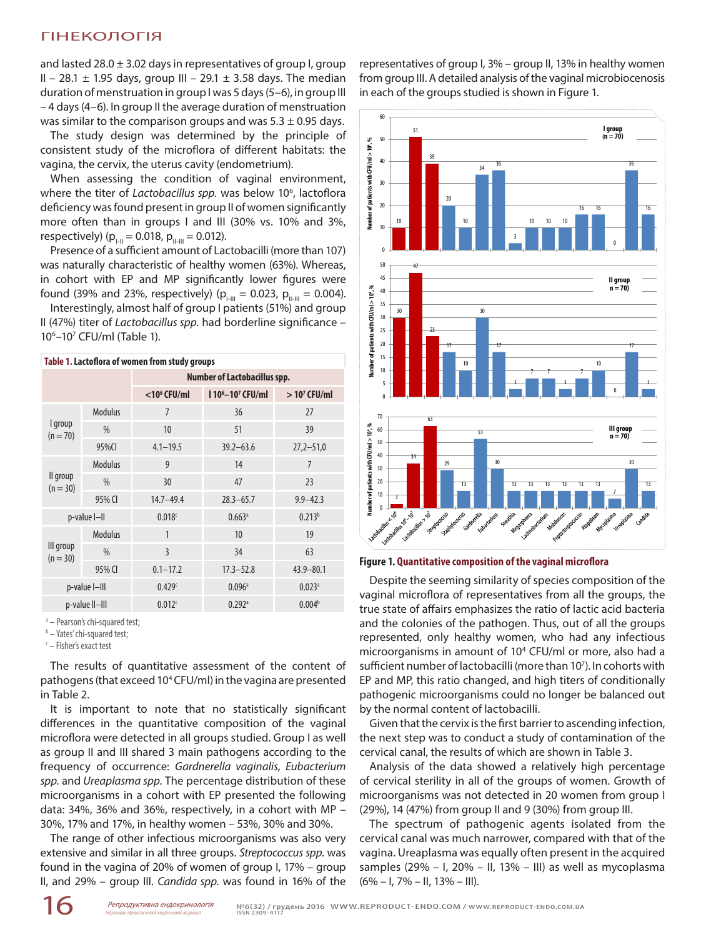and lasted  $28.0 \pm 3.02$  days in representatives of group I, group II – 28.1  $\pm$  1.95 days, group III – 29.1  $\pm$  3.58 days. The median duration of menstruation in group I was 5 days (5–6), in group III – 4 days (4–6). In group II the average duration of menstruation was similar to the comparison groups and was  $5.3 \pm 0.95$  days.

The study design was determined by the principle of consistent study of the microflora of different habitats: the vagina, the cervix, the uterus cavity (endometrium).

When assessing the condition of vaginal environment, where the titer of Lactobacillus spp. was below 10<sup>6</sup>, lactoflora deficiency was found present in group II of women significantly more often than in groups I and III (30% vs. 10% and 3%, respectively) ( $p_{I-II} = 0.018$ ,  $p_{II-III} = 0.012$ ).

Presence of a sufficient amount of Lactobacilli (more than 107) was naturally characteristic of healthy women (63%). Whereas, in cohort with EP and MP significantly lower figures were found (39% and 23%, respectively) ( $p_{I-H} = 0.023$ ,  $p_{II-H} = 0.004$ ).

Interestingly, almost half of group I patients (51%) and group II (47%) titer of *Lactobacillus spp.* had borderline significance – 106 –107 CFU/ml (Table 1).

| Table 1. Lactoflora of women from study groups |                |                                     |                       |                      |  |  |  |  |  |  |
|------------------------------------------------|----------------|-------------------------------------|-----------------------|----------------------|--|--|--|--|--|--|
|                                                |                | <b>Number of Lactobacillus spp.</b> |                       |                      |  |  |  |  |  |  |
|                                                |                | $<$ 10 $<$ CFU/ml                   | $110^6 - 10^7$ CFU/ml | $>107$ CFU/ml        |  |  |  |  |  |  |
|                                                | <b>Modulus</b> | $\overline{7}$                      | 36                    | 27                   |  |  |  |  |  |  |
| I group<br>$(n = 70)$                          | $\%$           | 10                                  | 51                    | 39                   |  |  |  |  |  |  |
|                                                | 95%CI          | $4.1 - 19.5$                        | $39.2 - 63.6$         | $27,2 - 51,0$        |  |  |  |  |  |  |
|                                                | <b>Modulus</b> | 9                                   | 14                    | $\overline{7}$       |  |  |  |  |  |  |
| II group<br>$(n = 30)$                         | $\%$           | 30                                  | 47                    | 23                   |  |  |  |  |  |  |
|                                                | 95% CI         | $14.7 - 49.4$                       | $28.3 - 65.7$         | $9.9 - 42.3$         |  |  |  |  |  |  |
| p-value I-II                                   |                | 0.018c                              | 0.663a                | $0.213^{b}$          |  |  |  |  |  |  |
|                                                | <b>Modulus</b> | 1                                   | 10                    | 19                   |  |  |  |  |  |  |
| III group<br>$(n = 30)$                        | $\%$           | 3                                   | 34                    | 63                   |  |  |  |  |  |  |
|                                                | 95% CI         | $0.1 - 17.2$                        | $17.3 - 52.8$         | $43.9 - 80.1$        |  |  |  |  |  |  |
| p-value I-III                                  |                | 0.429c                              | $0.096$ <sup>a</sup>  | $0.023$ <sup>a</sup> |  |  |  |  |  |  |
| p-value II-III                                 |                | 0.012c                              | $0.292$ <sup>a</sup>  | 0.004 <sup>b</sup>   |  |  |  |  |  |  |

a - Pearson's chi-squared test;

<sup>b</sup> – Yates' chi-squared test;

c – Fisher's exact test

The results of quantitative assessment of the content of pathogens (that exceed 10<sup>4</sup> CFU/ml) in the vagina are presented in Table 2.

It is important to note that no statistically significant differences in the quantitative composition of the vaginal microflora were detected in all groups studied. Group I as well as group II and III shared 3 main pathogens according to the frequency of occurrence: *Gardnerella vaginalis, Eubacterium spp.* and *Ureaplasma spp*. The percentage distribution of these microorganisms in a cohort with EP presented the following data: 34%, 36% and 36%, respectively, in a cohort with MP – 30%, 17% and 17%, in healthy women – 53%, 30% and 30%.

The range of other infectious microorganisms was also very extensive and similar in all three groups. *Streptococcus spp*. was found in the vagina of 20% of women of group I, 17% – group II, and 29% – group III. *Candida spp*. was found in 16% of the

representatives of group I, 3% – group II, 13% in healthy women from group III. A detailed analysis of the vaginal microbiocenosis in each of the groups studied is shown in Figure 1.



**Figure 1. Quantitative composition of the vaginal microflora**

Despite the seeming similarity of species composition of the vaginal microflora of representatives from all the groups, the true state of affairs emphasizes the ratio of lactic acid bacteria and the colonies of the pathogen. Thus, out of all the groups represented, only healthy women, who had any infectious microorganisms in amount of 104 CFU/ml or more, also had a sufficient number of lactobacilli (more than 107). In cohorts with EP and MP, this ratio changed, and high titers of conditionally pathogenic microorganisms could no longer be balanced out by the normal content of lactobacilli.

Given that the cervix is the first barrier to ascending infection, the next step was to conduct a study of contamination of the cervical canal, the results of which are shown in Table 3.

Analysis of the data showed a relatively high percentage of cervical sterility in all of the groups of women. Growth of microorganisms was not detected in 20 women from group I (29%), 14 (47%) from group II and 9 (30%) from group III.

The spectrum of pathogenic agents isolated from the cervical canal was much narrower, compared with that of the vagina. Ureaplasma was equally often present in the acquired samples (29% – I, 20% – II, 13% – III) as well as mycoplasma  $(6\% - I, 7\% - II, 13\% - III).$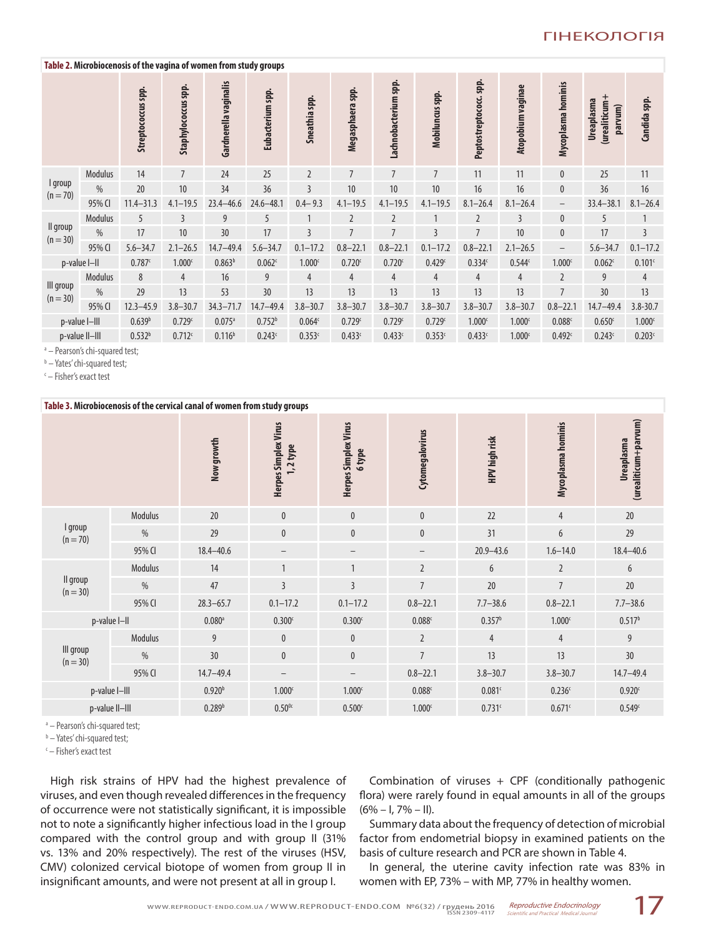## **Table 2. Microbiocenosis of the vagina of women from study groups**

|                         |                | Streptococcus spp. | Staphylococcus spp. | Gardnerella vaginalis | . .<br>. .<br>Eubacterium spp. | Sneathia spp.      | Megasphaera spp.   | Lachnobacterium spp. | Mobiluncus spp. | Peptostreptococc.spp. | Atopobium vaginae  | Mycoplasma hominis | (urealiticum+<br>Ureaplasma<br>parvum) | Candida spp.       |
|-------------------------|----------------|--------------------|---------------------|-----------------------|--------------------------------|--------------------|--------------------|----------------------|-----------------|-----------------------|--------------------|--------------------|----------------------------------------|--------------------|
|                         | Modulus        | 14                 | $\overline{7}$      | 24                    | 25                             | $\overline{2}$     | $\overline{7}$     | $\overline{7}$       | $\overline{7}$  | 11                    | 11                 | $\mathbf{0}$       | 25                                     | 11                 |
| I group<br>$(n = 70)$   | $\frac{0}{0}$  | 20                 | 10                  | 34                    | 36                             | 3                  | 10                 | 10                   | 10              | 16                    | 16                 | $\mathbf{0}$       | 36                                     | 16                 |
|                         | 95% CI         | $11.4 - 31.3$      | $4.1 - 19.5$        | $23.4 - 46.6$         | $24.6 - 48.1$                  | $0.4 - 9.3$        | $4.1 - 19.5$       | $4.1 - 19.5$         | $4.1 - 19.5$    | $8.1 - 26.4$          | $8.1 - 26.4$       | $\qquad \qquad -$  | $33.4 - 38.1$                          | $8.1 - 26.4$       |
|                         | Modulus        | 5                  | 3                   | 9                     | 5                              | $\mathbf{1}$       | $\overline{2}$     | $\overline{2}$       |                 | $\overline{2}$        | 3                  | $\mathbf{0}$       | 5                                      | 1                  |
| Il group<br>$(n = 30)$  | $\frac{0}{0}$  | 17                 | 10                  | 30                    | 17                             | $\overline{3}$     | $\overline{7}$     | $\overline{7}$       | $\overline{3}$  | $\overline{7}$        | 10                 | $\mathbf{0}$       | 17                                     | 3                  |
|                         | 95% CI         | $5.6 - 34.7$       | $2.1 - 26.5$        | $14.7 - 49.4$         | $5.6 - 34.7$                   | $0.1 - 17.2$       | $0.8 - 22.1$       | $0.8 - 22.1$         | $0.1 - 17.2$    | $0.8 - 22.1$          | $2.1 - 26.5$       | $\qquad \qquad -$  | $5.6 - 34.7$                           | $0.1 - 17.2$       |
|                         | p-value I-II   | 0.787c             | 1.000 <sup>c</sup>  | 0.863 <sup>b</sup>    | 0.062c                         | 1.000 <sup>c</sup> | 0.720 <sup>c</sup> | 0.720c               | 0.429c          | 0.334c                | 0.544c             | 1.000 <sup>c</sup> | 0.062c                                 | 0.101c             |
|                         | Modulus        | 8                  | $\overline{4}$      | 16                    | 9                              | $\overline{4}$     | $\overline{4}$     | $\overline{4}$       | $\overline{4}$  | $\overline{4}$        | $\overline{4}$     | $\overline{2}$     | 9                                      | $\overline{4}$     |
| III group<br>$(n = 30)$ | $\frac{0}{0}$  | 29                 | 13                  | 53                    | 30                             | 13                 | 13                 | 13                   | 13              | 13                    | 13                 | $\overline{7}$     | 30                                     | 13                 |
|                         | 95% CI         | $12.3 - 45.9$      | $3.8 - 30.7$        | $34.3 - 71.7$         | $14.7 - 49.4$                  | $3.8 - 30.7$       | $3.8 - 30.7$       | $3.8 - 30.7$         | $3.8 - 30.7$    | $3.8 - 30.7$          | $3.8 - 30.7$       | $0.8 - 22.1$       | $14.7 - 49.4$                          | $3.8 - 30.7$       |
|                         | p-value I-III  | 0.639 <sup>b</sup> | 0.729c              | $0.075$ <sup>a</sup>  | 0.752 <sup>b</sup>             | 0.064 <sup>c</sup> | 0.729c             | 0.729c               | 0.729c          | 1.000 <sup>c</sup>    | 1.000 <sub>c</sub> | 0.088c             | 0.650c                                 | 1.000 <sup>c</sup> |
|                         | p-value II-III | $0.532^{b}$        | 0.712c              | 0.116 <sup>b</sup>    | 0.243c                         | 0.353c             | 0.433c             | 0.433c               | 0.353c          | 0.433c                | 1.000 <sub>c</sub> | 0.492c             | 0.243c                                 | 0.203c             |

<sup>a</sup> - Pearson's chi-squared test;

<sup>b</sup> – Yates' chi-squared test;

c – Fisher's exact test

| Table 3. Microbiocenosis of the cervical canal of women from study groups |                |                      |                                           |                                       |                    |                    |                    |                                    |  |
|---------------------------------------------------------------------------|----------------|----------------------|-------------------------------------------|---------------------------------------|--------------------|--------------------|--------------------|------------------------------------|--|
|                                                                           |                | Now growth           | <b>Herpes Simplex Virus</b><br>$1,2$ type | <b>Herpes Simplex Virus</b><br>6 type | Cytomegalovirus    | HPV high risk      | Mycoplasma hominis | (urealiticum+parvum)<br>Ureaplasma |  |
|                                                                           | Modulus        | 20                   | $\pmb{0}$                                 | $\bf{0}$                              | $\mathbf{0}$       | 22                 | $\overline{4}$     | 20                                 |  |
| I group<br>$(n = 70)$                                                     | $\frac{0}{0}$  | 29                   | $\pmb{0}$                                 | $\pmb{0}$                             | $\pmb{0}$          | 31                 | $6\phantom{.}6$    | 29                                 |  |
|                                                                           | 95% CI         | $18.4 - 40.6$        | -                                         | $\qquad \qquad -$                     |                    | $20.9 - 43.6$      | $1.6 - 14.0$       | $18.4 - 40.6$                      |  |
| Il group<br>$(n = 30)$                                                    | Modulus        | 14                   | $\mathbf{1}$                              | $\mathbf{1}$                          | $\overline{2}$     | 6                  | $\overline{2}$     | 6                                  |  |
|                                                                           | $\frac{0}{0}$  | 47                   | $\overline{3}$                            | $\overline{3}$                        | $\overline{7}$     | 20                 | $\overline{7}$     | 20                                 |  |
|                                                                           | 95% CI         | $28.3 - 65.7$        | $0.1 - 17.2$                              | $0.1 - 17.2$                          | $0.8 - 22.1$       | $7.7 - 38.6$       | $0.8 - 22.1$       | $7.7 - 38.6$                       |  |
|                                                                           | p-value I-II   | $0.080$ <sup>a</sup> | 0.300 <sup>c</sup>                        | 0.300 <sup>c</sup>                    | 0.088c             | 0.357 <sup>b</sup> | 1.000 <sub>c</sub> | 0.517 <sup>b</sup>                 |  |
| III group<br>$(n = 30)$                                                   | <b>Modulus</b> | 9                    | $\mathbf{0}$                              | $\mathbf{0}$                          | $\overline{2}$     | $\overline{4}$     | $\overline{4}$     | 9                                  |  |
|                                                                           | $\frac{0}{0}$  | 30                   | $\mathbf{0}$                              | $\mathbf{0}$                          | $\overline{7}$     | 13                 | 13                 | 30 <sup>°</sup>                    |  |
|                                                                           | 95% CI         | $14.7 - 49.4$        | $\qquad \qquad -$                         | $\qquad \qquad -$                     | $0.8 - 22.1$       | $3.8 - 30.7$       | $3.8 - 30.7$       | $14.7 - 49.4$                      |  |
| p-value I-III                                                             |                | 0.920 <sup>b</sup>   | 1.000 <sup>c</sup>                        | 1.000 <sup>c</sup>                    | 0.088c             | 0.081c             | 0.236c             | 0.920 <sup>c</sup>                 |  |
| p-value II-III                                                            |                | 0.289 <sup>b</sup>   | $0.50^{\circ}$                            | 0.500 <sup>c</sup>                    | 1.000 <sub>c</sub> | 0.731c             | 0.671c             | 0.549c                             |  |

<sup>a</sup> - Pearson's chi-squared test;

<sup>b</sup> – Yates' chi-squared test;

c – Fisher's exact test

High risk strains of HPV had the highest prevalence of viruses, and even though revealed differences in the frequency of occurrence were not statistically significant, it is impossible not to note a significantly higher infectious load in the I group compared with the control group and with group II (31% vs. 13% and 20% respectively). The rest of the viruses (HSV, CMV) colonized cervical biotope of women from group II in insignificant amounts, and were not present at all in group I.

Combination of viruses + CPF (conditionally pathogenic flora) were rarely found in equal amounts in all of the groups  $(6\% - I, 7\% - II).$ 

Summary data about the frequency of detection of microbial factor from endometrial biopsy in examined patients on the basis of culture research and PCR are shown in Table 4.

In general, the uterine cavity infection rate was 83% in women with EP, 73% – with MP, 77% in healthy women.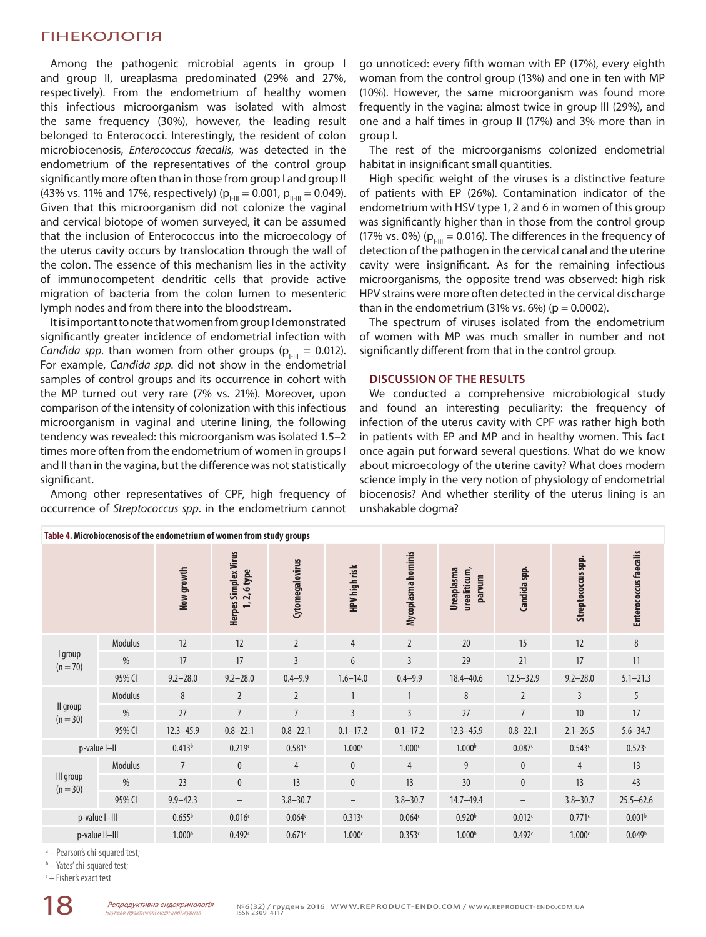Among the pathogenic microbial agents in group I and group II, ureaplasma predominated (29% and 27%, respectively). From the endometrium of healthy women this infectious microorganism was isolated with almost the same frequency (30%), however, the leading result belonged to Enterococci. Interestingly, the resident of colon microbiocenosis, *Enterococcus faecalis*, was detected in the endometrium of the representatives of the control group significantly more often than in those from group I and group II (43% vs. 11% and 17%, respectively) ( $p_{I-III} = 0.001$ ,  $p_{II-III} = 0.049$ ). Given that this microorganism did not colonize the vaginal and cervical biotope of women surveyed, it can be assumed that the inclusion of Enterococcus into the microecology of the uterus cavity occurs by translocation through the wall of the colon. The essence of this mechanism lies in the activity of immunocompetent dendritic cells that provide active migration of bacteria from the colon lumen to mesenteric lymph nodes and from there into the bloodstream.

It is important to note that women from group I demonstrated significantly greater incidence of endometrial infection with *Candida spp*. than women from other groups ( $p_{1,II} = 0.012$ ). For example, *Candida spp*. did not show in the endometrial samples of control groups and its occurrence in cohort with the MP turned out very rare (7% vs. 21%). Moreover, upon comparison of the intensity of colonization with this infectious microorganism in vaginal and uterine lining, the following tendency was revealed: this microorganism was isolated 1.5–2 times more often from the endometrium of women in groups I and II than in the vagina, but the difference was not statistically significant.

Among other representatives of CPF, high frequency of occurrence of *Streptococcus spp*. in the endometrium cannot

go unnoticed: every fifth woman with EP (17%), every eighth woman from the control group (13%) and one in ten with MP (10%). However, the same microorganism was found more frequently in the vagina: almost twice in group III (29%), and one and a half times in group II (17%) and 3% more than in group I.

The rest of the microorganisms colonized endometrial habitat in insignificant small quantities.

High specific weight of the viruses is a distinctive feature of patients with EP (26%). Contamination indicator of the endometrium with HSV type 1, 2 and 6 in women of this group was significantly higher than in those from the control group (17% vs. 0%) ( $p_{\text{I-III}}$  = 0.016). The differences in the frequency of detection of the pathogen in the cervical canal and the uterine cavity were insignificant. As for the remaining infectious microorganisms, the opposite trend was observed: high risk HPV strains were more often detected in the cervical discharge than in the endometrium  $(31\% \text{ vs. } 6\%)$  ( $p = 0.0002$ ).

The spectrum of viruses isolated from the endometrium of women with MP was much smaller in number and not significantly different from that in the control group.

## **DISCUSSION OF THE RESULTS**

We conducted a comprehensive microbiological study and found an interesting peculiarity: the frequency of infection of the uterus cavity with CPF was rather high both in patients with EP and MP and in healthy women. This fact once again put forward several questions. What do we know about microecology of the uterine cavity? What does modern science imply in the very notion of physiology of endometrial biocenosis? And whether sterility of the uterus lining is an unshakable dogma?

| Table 4. Microbiocenosis of the endometrium of women from study groups |               |                    |                                      |                    |                    |                    |                                      |                   |                    |                       |
|------------------------------------------------------------------------|---------------|--------------------|--------------------------------------|--------------------|--------------------|--------------------|--------------------------------------|-------------------|--------------------|-----------------------|
|                                                                        |               | Now growth         | Herpes Simplex Virus<br>1, 2, 6 type | Cytomegalovirus    | HPV high risk      | Mycoplasma hominis | urealiticum,<br>Ureaplasma<br>parvum | Candida spp.      | Streptococcus spp. | Enterococcus faecalis |
|                                                                        | Modulus       | 12                 | 12                                   | $\overline{2}$     | $\overline{4}$     | $\overline{2}$     | 20                                   | 15                | 12                 | 8                     |
| I group<br>$(n = 70)$                                                  | $\frac{0}{6}$ | 17                 | 17                                   | $\overline{3}$     | 6                  | $\overline{3}$     | 29                                   | 21                | 17                 | 11                    |
|                                                                        | 95% CI        | $9.2 - 28.0$       | $9.2 - 28.0$                         | $0.4 - 9.9$        | $1.6 - 14.0$       | $0.4 - 9.9$        | $18.4 - 40.6$                        | $12.5 - 32.9$     | $9.2 - 28.0$       | $5.1 - 21.3$          |
| II group<br>$(n = 30)$                                                 | Modulus       | 8                  | $\overline{2}$                       | $\overline{2}$     | $\mathbf{1}$       | $\mathbf{1}$       | 8                                    | $\overline{2}$    | $\overline{3}$     | 5                     |
|                                                                        | $\frac{0}{6}$ | 27                 | $\overline{7}$                       | $\overline{7}$     | $\overline{3}$     | $\overline{3}$     | 27                                   | $\overline{7}$    | 10                 | 17                    |
|                                                                        | 95% CI        | $12.3 - 45.9$      | $0.8 - 22.1$                         | $0.8 - 22.1$       | $0.1 - 17.2$       | $0.1 - 17.2$       | $12.3 - 45.9$                        | $0.8 - 22.1$      | $2.1 - 26.5$       | $5.6 - 34.7$          |
| p-value I-II                                                           |               | 0.413 <sup>b</sup> | 0.219c                               | 0.581c             | 1.000 <sup>c</sup> | 1.000 <sup>c</sup> | 1.000 <sup>b</sup>                   | 0.087c            | 0.543c             | 0.523c                |
|                                                                        | Modulus       | $\overline{7}$     | $\mathbf{0}$                         | $\overline{4}$     | $\bf{0}$           | 4                  | 9                                    | $\mathbf{0}$      | $\overline{4}$     | 13                    |
| III group<br>$(n = 30)$                                                | $\frac{0}{6}$ | 23                 | $\mathbf{0}$                         | 13                 | $\mathbf{0}$       | 13                 | 30                                   | $\pmb{0}$         | 13                 | 43                    |
|                                                                        | 95% CI        | $9.9 - 42.3$       | $\qquad \qquad -$                    | $3.8 - 30.7$       | $\qquad \qquad -$  | $3.8 - 30.7$       | $14.7 - 49.4$                        | $\qquad \qquad -$ | $3.8 - 30.7$       | $25.5 - 62.6$         |
| p-value I-III                                                          |               | 0.655 <sup>b</sup> | 0.016c                               | 0.064 <sup>c</sup> | 0.313c             | 0.064c             | 0.920 <sup>b</sup>                   | 0.012c            | 0.771c             | 0.001 <sup>b</sup>    |
| p-value II-III                                                         |               | 1.000 <sup>b</sup> | 0.492c                               | 0.671c             | 1.000 <sub>c</sub> | 0.353c             | 1.000 <sup>b</sup>                   | 0.492c            | 1.000 <sup>c</sup> | 0.049 <sup>b</sup>    |

<sup>a</sup> - Pearson's chi-squared test;

<sup>b</sup> – Yates' chi-squared test;

c – Fisher's exact test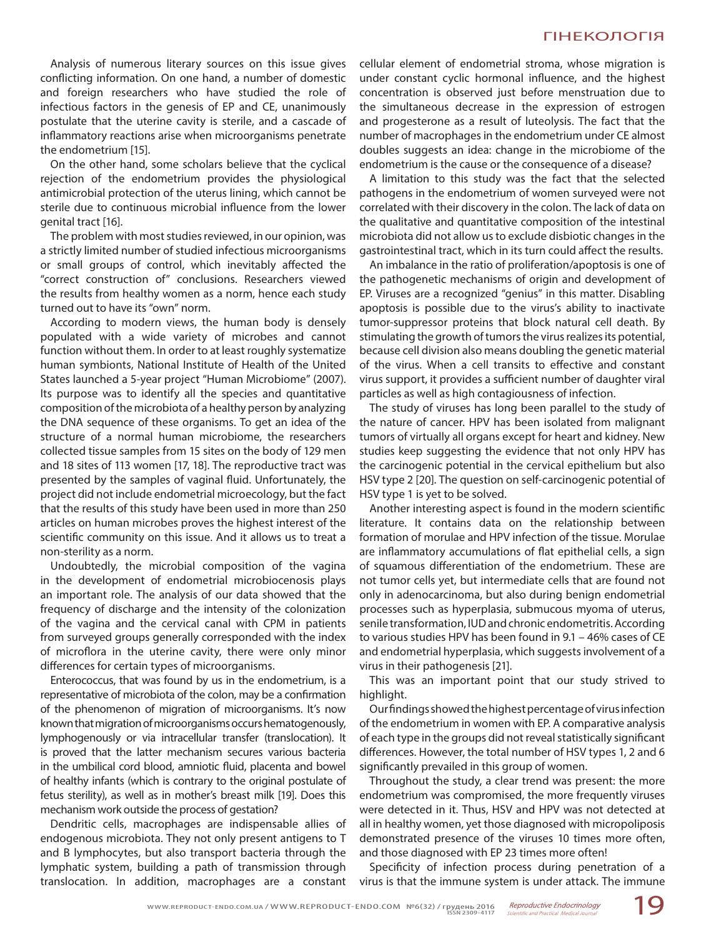Analysis of numerous literary sources on this issue gives conflicting information. On one hand, a number of domestic and foreign researchers who have studied the role of infectious factors in the genesis of EP and CE, unanimously postulate that the uterine cavity is sterile, and a cascade of inflammatory reactions arise when microorganisms penetrate the endometrium [15].

On the other hand, some scholars believe that the cyclical rejection of the endometrium provides the physiological antimicrobial protection of the uterus lining, which cannot be sterile due to continuous microbial influence from the lower genital tract [16].

The problem with most studies reviewed, in our opinion, was a strictly limited number of studied infectious microorganisms or small groups of control, which inevitably affected the "correct construction of" conclusions. Researchers viewed the results from healthy women as a norm, hence each study turned out to have its "own" norm.

According to modern views, the human body is densely populated with a wide variety of microbes and cannot function without them. In order to at least roughly systematize human symbionts, National Institute of Health of the United States launched a 5-year project "Human Microbiome" (2007). Its purpose was to identify all the species and quantitative composition of the microbiota of a healthy person by analyzing the DNA sequence of these organisms. To get an idea of the structure of a normal human microbiome, the researchers collected tissue samples from 15 sites on the body of 129 men and 18 sites of 113 women [17, 18]. The reproductive tract was presented by the samples of vaginal fluid. Unfortunately, the project did not include endometrial microecology, but the fact that the results of this study have been used in more than 250 articles on human microbes proves the highest interest of the scientific community on this issue. And it allows us to treat a non-sterility as a norm.

Undoubtedly, the microbial composition of the vagina in the development of endometrial microbiocenosis plays an important role. The analysis of our data showed that the frequency of discharge and the intensity of the colonization of the vagina and the cervical canal with CPM in patients from surveyed groups generally corresponded with the index of microflora in the uterine cavity, there were only minor differences for certain types of microorganisms.

Enterococcus, that was found by us in the endometrium, is a representative of microbiota of the colon, may be a confirmation of the phenomenon of migration of microorganisms. It's now known that migration of microorganisms occurs hematogenously, lymphogenously or via intracellular transfer (translocation). It is proved that the latter mechanism secures various bacteria in the umbilical cord blood, amniotic fluid, placenta and bowel of healthy infants (which is contrary to the original postulate of fetus sterility), as well as in mother's breast milk [19]. Does this mechanism work outside the process of gestation?

Dendritic cells, macrophages are indispensable allies of endogenous microbiota. They not only present antigens to T and B lymphocytes, but also transport bacteria through the lymphatic system, building a path of transmission through translocation. In addition, macrophages are a constant cellular element of endometrial stroma, whose migration is under constant cyclic hormonal influence, and the highest concentration is observed just before menstruation due to the simultaneous decrease in the expression of estrogen and progesterone as a result of luteolysis. The fact that the number of macrophages in the endometrium under CE almost doubles suggests an idea: change in the microbiome of the endometrium is the cause or the consequence of a disease?

A limitation to this study was the fact that the selected pathogens in the endometrium of women surveyed were not correlated with their discovery in the colon. The lack of data on the qualitative and quantitative composition of the intestinal microbiota did not allow us to exclude disbiotic changes in the gastrointestinal tract, which in its turn could affect the results.

An imbalance in the ratio of proliferation/apoptosis is one of the pathogenetic mechanisms of origin and development of EP. Viruses are a recognized "genius" in this matter. Disabling apoptosis is possible due to the virus's ability to inactivate tumor-suppressor proteins that block natural cell death. By stimulating the growth of tumors the virus realizes its potential, because cell division also means doubling the genetic material of the virus. When a cell transits to effective and constant virus support, it provides a sufficient number of daughter viral particles as well as high contagiousness of infection.

The study of viruses has long been parallel to the study of the nature of cancer. HPV has been isolated from malignant tumors of virtually all organs except for heart and kidney. New studies keep suggesting the evidence that not only HPV has the carcinogenic potential in the cervical epithelium but also HSV type 2 [20]. The question on self-carcinogenic potential of HSV type 1 is yet to be solved.

Another interesting aspect is found in the modern scientific literature. It contains data on the relationship between formation of morulae and HPV infection of the tissue. Morulae are inflammatory accumulations of flat epithelial cells, a sign of squamous differentiation of the endometrium. These are not tumor cells yet, but intermediate cells that are found not only in adenocarcinoma, but also during benign endometrial processes such as hyperplasia, submucous myoma of uterus, senile transformation, IUD and chronic endometritis. According to various studies HPV has been found in 9.1 – 46% cases of CE and endometrial hyperplasia, which suggests involvement of a virus in their pathogenesis [21].

This was an important point that our study strived to highlight.

Our findings showed the highest percentage of virus infection of the endometrium in women with EP. A comparative analysis of each type in the groups did not reveal statistically significant differences. However, the total number of HSV types 1, 2 and 6 significantly prevailed in this group of women.

Throughout the study, a clear trend was present: the more endometrium was compromised, the more frequently viruses were detected in it. Thus, HSV and HPV was not detected at all in healthy women, yet those diagnosed with micropoliposis demonstrated presence of the viruses 10 times more often, and those diagnosed with EP 23 times more often!

Specificity of infection process during penetration of a virus is that the immune system is under attack. The immune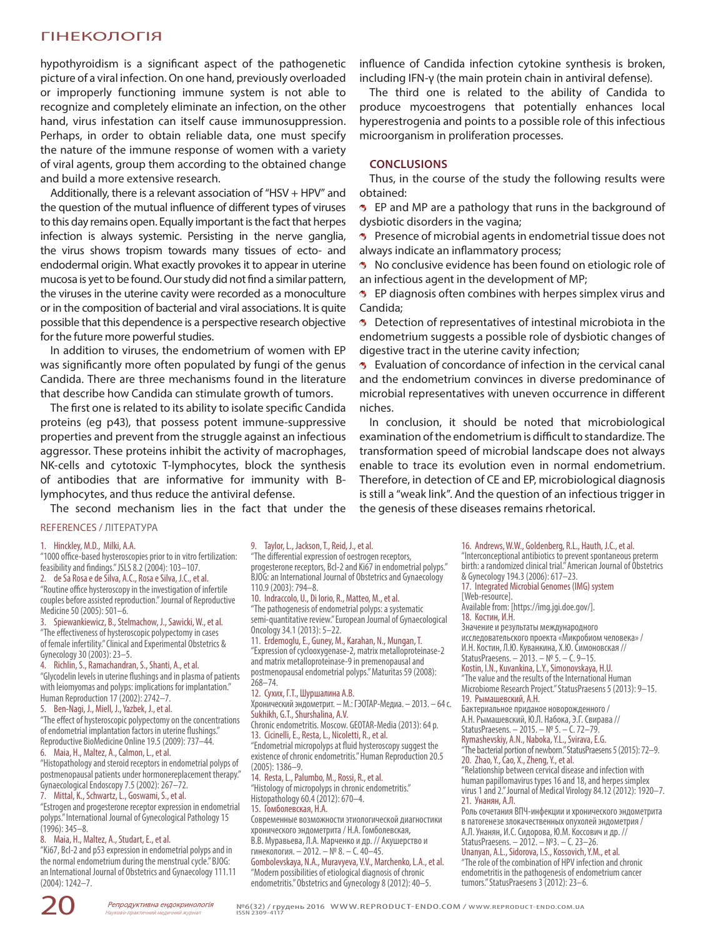hypothyroidism is a significant aspect of the pathogenetic picture of a viral infection. On one hand, previously overloaded or improperly functioning immune system is not able to recognize and completely eliminate an infection, on the other hand, virus infestation can itself cause immunosuppression. Perhaps, in order to obtain reliable data, one must specify the nature of the immune response of women with a variety of viral agents, group them according to the obtained change and build a more extensive research.

Additionally, there is a relevant association of "HSV + HPV" and the question of the mutual influence of different types of viruses to this day remains open. Equally important is the fact that herpes infection is always systemic. Persisting in the nerve ganglia, the virus shows tropism towards many tissues of ecto- and endodermal origin. What exactly provokes it to appear in uterine mucosa is yet to be found. Our study did not find a similar pattern, the viruses in the uterine cavity were recorded as a monoculture or in the composition of bacterial and viral associations. It is quite possible that this dependence is a perspective research objective for the future more powerful studies.

In addition to viruses, the endometrium of women with EP was significantly more often populated by fungi of the genus Candida. There are three mechanisms found in the literature that describe how Candida can stimulate growth of tumors.

The first one is related to its ability to isolate specific Candida proteins (eg p43), that possess potent immune-suppressive properties and prevent from the struggle against an infectious aggressor. These proteins inhibit the activity of macrophages, NK-cells and cytotoxic T-lymphocytes, block the synthesis of antibodies that are informative for immunity with Blymphocytes, and thus reduce the antiviral defense.

The second mechanism lies in the fact that under the

#### REFERENCES / ЛІТЕРАТУРА

#### 1. Hinckley, M.D., Milki, A.A.

"1000 office-based hysteroscopies prior to in vitro fertilization: feasibility and findings." JSLS 8.2 (2004): 103–107. 2. de Sa Rosa e de Silva, A.C., Rosa e Silva, J.C., et al.

"Routine office hysteroscopy in the investigation of infertile couples before assisted reproduction." Journal of Reproductive Medicine 50 (2005): 501–6.

3. Spiewankiewicz, B., Stelmachow, J., Sawicki, W., et al. "The effectiveness of hysteroscopic polypectomy in cases of female infertility." Clinical and Experimental Obstetrics & Gynecology 30 (2003): 23–5.

4. Richlin, S., Ramachandran, S., Shanti, A., et al. "Glycodelin levels in uterine flushings and in plasma of patients with leiomyomas and polyps: implications for implantation." Human Reproduction 17 (2002): 2742–7.

5. Ben-Nagi, J., Miell, J., Yazbek, J., et al. "The effect of hysteroscopic polypectomy on the concentrations of endometrial implantation factors in uterine flushings." Reproductive BioMedicine Online 19.5 (2009): 737–44. 6. Maia, H., Maltez, A., Calmon, L., et al.

"Histopathology and steroid receptors in endometrial polyps of postmenopausal patients under hormonereplacement therapy." Gynaecological Endoscopy 7.5 (2002): 267–72.

7. Mittal, K., Schwartz, L., Goswami, S., et al. "Estrogen and progesterone receptor expression in endometrial polyps." International Journal of Gynecological Pathology 15 (1996): 345–8.

#### 8. Maia, H., Maltez, A., Studart, E., et al.

"Ki67, Bcl-2 and p53 expression in endometrial polyps and in the normal endometrium during the menstrual cycle." BJOG: an International Journal of Obstetrics and Gynaecology 111.11 (2004): 1242–7.

influence of Candida infection cytokine synthesis is broken, including IFN-γ (the main protein chain in antiviral defense).

The third one is related to the ability of Candida to produce mycoestrogens that potentially enhances local hyperestrogenia and points to a possible role of this infectious microorganism in proliferation processes.

## **CONCLUSIONS**

Thus, in the course of the study the following results were obtained:

**B** EP and MP are a pathology that runs in the background of dysbiotic disorders in the vagina;

**B** Presence of microbial agents in endometrial tissue does not always indicate an inflammatory process;

No conclusive evidence has been found on etiologic role of an infectious agent in the development of MP;

**B** EP diagnosis often combines with herpes simplex virus and Candida;

**B** Detection of representatives of intestinal microbiota in the endometrium suggests a possible role of dysbiotic changes of digestive tract in the uterine cavity infection;

**B** Evaluation of concordance of infection in the cervical canal and the endometrium convinces in diverse predominance of microbial representatives with uneven occurrence in different niches.

In conclusion, it should be noted that microbiological examination of the endometrium is difficult to standardize. The transformation speed of microbial landscape does not always enable to trace its evolution even in normal endometrium. Therefore, in detection of CE and EP, microbiological diagnosis is still a "weak link". And the question of an infectious trigger in the genesis of these diseases remains rhetorical.

9. Taylor, L., Jackson, T., Reid, J., et al. "The differential expression of oestrogen receptors, progesterone receptors, Bcl-2 and Ki67 in endometrial polyps." BJOG: an International Journal of Obstetrics and Gynaecology 110.9 (2003): 794–8.

10. Indraccolo, U., Di Iorio, R., Matteo, M., et al. "The pathogenesis of endometrial polyps: a systematic semi-quantitative review." European Journal of Gynaecological Oncology 34.1 (2013): 5–22.

11. Erdemoglu, E., Guney, M., Karahan, N., Mungan, T. "Expression of cyclooxygenase-2, matrix metalloproteinase-2 and matrix metalloproteinase-9 in premenopausal and postmenopausal endometrial polyps." Maturitas 59 (2008): 268–74.

### 12. Сухих, Г.Т., Шуршалина А.В.

Хронический эндометрит. – М.: ГЭОТАР-Медиа. – 2013. – 64 с. Sukhikh, G.T., Shurshalina, A.V.

Chronic endometritis. Moscow. GEOTAR-Media (2013): 64 p. 13. Cicinelli, E., Resta, L., Nicoletti, R., et al.

"Endometrial micropolyps at fluid hysteroscopy suggest the existence of chronic endometritis." Human Reproduction 20.5 (2005): 1386–9.

14. Resta, L., Palumbo, M., Rossi, R., et al. "Histology of micropolyps in chronic endometritis." Histopathology 60.4 (2012): 670–4. 15. Гомболевская, Н.А.

Современные возможности этиологической диагностики хронического эндометрита / Н.А. Гомболевская, В.В. Муравьева, Л.А. Марченко и др. // Акушерство и гинекология. – 2012. – № 8. – С. 40–45.

Gombolevskaya, N.A., Muravyeva, V.V., Marchenko, L.A., et al. "Modern possibilities of etiological diagnosis of chronic endometritis." Obstetrics and Gynecology 8 (2012): 40–5.

16. Andrews, W.W., Goldenberg, R.L., Hauth, J.C., et al. "Interconceptional antibiotics to prevent spontaneous preterm birth: a randomized clinical trial." American Journal of Obstetrics & Gynecology 194.3 (2006): 617–23. 17. Integrated Microbial Genomes (IMG) system [Web-resource]. Available from: [https://img.jgi.doe.gov/]. 18. Костин, И.Н. Значение и результаты международного исследовательского проекта «Микробиом человека» / И.Н. Костин, Л.Ю. Куванкина, Х.Ю. Симоновская // StatusPraesens. – 2013. – № 5. – С. 9–15. Kostin, I.N., Kuvankina, L.Y., Simonovskaya, H.U. "The value and the results of the International Human Microbiome Research Project." StatusPraesens 5 (2013): 9–15. 19. Рымашевский, А.Н. Бактериальное приданое новорожденного / А.Н. Рымашевский, Ю.Л. Набока, Э.Г. Свирава // StatusPraesens. – 2015. – № 5. – С. 72–79. Rymashevskiy, A.N., Naboka, Y.L., Svirava, E.G. "The bacterial portion of newborn." StatusPraesens 5 (2015): 72–9. 20. Zhao, Y., Cao, X., Zheng, Y., et al. "Relationship between cervical disease and infection with human papillomavirus types 16 and 18, and herpes simplex virus 1 and 2." Journal of Medical Virology 84.12 (2012): 1920–7. 21. Унанян, А.Л. Роль сочетания ВПЧ-инфекции и хронического эндометрита

в патогенезе злокачественных опухолей эндометрия / А.Л. Унанян, И.С. Сидорова, Ю.М. Коссович и др. // StatusPraesens. – 2012. – №3. – С. 23–26.

Unanyan, A.L., Sidorova, I.S., Kossovich, Y.M., et al. "The role of the combination of HPV infection and chronic endometritis in the pathogenesis of endometrium cancer tumors." StatusPraesens 3 (2012): 23–6.

2 О Репродуктивна ендокринологія №6(32) / грудень 2016 WWW.REPRODUCT-ENDO.COM / WWW.REPRODUCT-ENDO.COM.UA